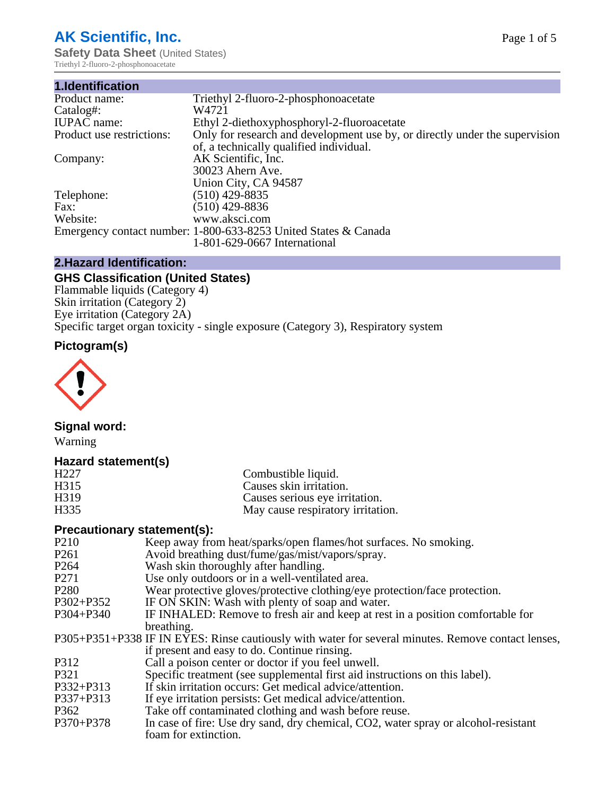# **AK Scientific, Inc.**

**Safety Data Sheet (United States)** Triethyl 2-fluoro-2-phosphonoacetate

| 1.Identification          |                                                                             |
|---------------------------|-----------------------------------------------------------------------------|
| Product name:             | Triethyl 2-fluoro-2-phosphonoacetate                                        |
| Catalog#:                 | W4721                                                                       |
| <b>IUPAC</b> name:        | Ethyl 2-diethoxyphosphoryl-2-fluoroacetate                                  |
| Product use restrictions: | Only for research and development use by, or directly under the supervision |
|                           | of, a technically qualified individual.                                     |
| Company:                  | AK Scientific, Inc.                                                         |
|                           | 30023 Ahern Ave.                                                            |
|                           | Union City, CA 94587                                                        |
| Telephone:                | $(510)$ 429-8835                                                            |
| Fax:                      | $(510)$ 429-8836                                                            |
| Website:                  | www.aksci.com                                                               |
|                           | Emergency contact number: 1-800-633-8253 United States & Canada             |
|                           | 1-801-629-0667 International                                                |

# **2.Hazard Identification:**

# **GHS Classification (United States)**

Flammable liquids (Category 4) Skin irritation (Category 2) Eye irritation (Category 2A) Specific target organ toxicity - single exposure (Category 3), Respiratory system

# **Pictogram(s)**



# **Signal word:**

Warning

## **Hazard statement(s)**

#### **Precautionary statement(s):**

| Keep away from heat/sparks/open flames/hot surfaces. No smoking.                                   |
|----------------------------------------------------------------------------------------------------|
| Avoid breathing dust/fume/gas/mist/vapors/spray.                                                   |
| Wash skin thoroughly after handling.                                                               |
| Use only outdoors or in a well-ventilated area.                                                    |
| Wear protective gloves/protective clothing/eye protection/face protection.                         |
| IF ON SKIN: Wash with plenty of soap and water.                                                    |
| IF INHALED: Remove to fresh air and keep at rest in a position comfortable for                     |
| breathing.                                                                                         |
| P305+P351+P338 IF IN EYES: Rinse cautiously with water for several minutes. Remove contact lenses, |
| if present and easy to do. Continue rinsing.                                                       |
| Call a poison center or doctor if you feel unwell.                                                 |
| Specific treatment (see supplemental first aid instructions on this label).                        |
| If skin irritation occurs: Get medical advice/attention.                                           |
| If eye irritation persists: Get medical advice/attention.                                          |
| Take off contaminated clothing and wash before reuse.                                              |
| In case of fire: Use dry sand, dry chemical, CO2, water spray or alcohol-resistant                 |
| foam for extinction.                                                                               |
|                                                                                                    |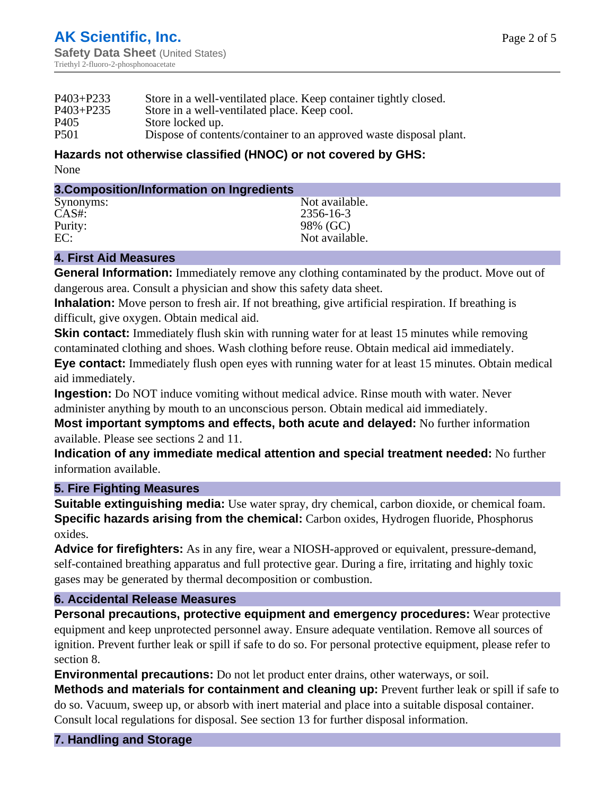| Dispose of contents/container to an approved waste disposal plant. |
|--------------------------------------------------------------------|
|                                                                    |

#### **Hazards not otherwise classified (HNOC) or not covered by GHS:** None

#### **3.Composition/Information on Ingredients**

| Synonyms: | Not available. |
|-----------|----------------|
| $CAS#$ :  | 2356-16-3      |
| Purity:   | 98% (GC)       |
| EC:       | Not available. |
|           |                |

### **4. First Aid Measures**

**General Information:** Immediately remove any clothing contaminated by the product. Move out of dangerous area. Consult a physician and show this safety data sheet.

**Inhalation:** Move person to fresh air. If not breathing, give artificial respiration. If breathing is difficult, give oxygen. Obtain medical aid.

**Skin contact:** Immediately flush skin with running water for at least 15 minutes while removing contaminated clothing and shoes. Wash clothing before reuse. Obtain medical aid immediately.

**Eye contact:** Immediately flush open eyes with running water for at least 15 minutes. Obtain medical aid immediately.

**Ingestion:** Do NOT induce vomiting without medical advice. Rinse mouth with water. Never administer anything by mouth to an unconscious person. Obtain medical aid immediately.

**Most important symptoms and effects, both acute and delayed:** No further information available. Please see sections 2 and 11.

**Indication of any immediate medical attention and special treatment needed:** No further information available.

#### **5. Fire Fighting Measures**

**Suitable extinguishing media:** Use water spray, dry chemical, carbon dioxide, or chemical foam. **Specific hazards arising from the chemical:** Carbon oxides, Hydrogen fluoride, Phosphorus oxides.

**Advice for firefighters:** As in any fire, wear a NIOSH-approved or equivalent, pressure-demand, self-contained breathing apparatus and full protective gear. During a fire, irritating and highly toxic gases may be generated by thermal decomposition or combustion.

## **6. Accidental Release Measures**

**Personal precautions, protective equipment and emergency procedures:** Wear protective equipment and keep unprotected personnel away. Ensure adequate ventilation. Remove all sources of ignition. Prevent further leak or spill if safe to do so. For personal protective equipment, please refer to section 8.

**Environmental precautions:** Do not let product enter drains, other waterways, or soil.

**Methods and materials for containment and cleaning up:** Prevent further leak or spill if safe to do so. Vacuum, sweep up, or absorb with inert material and place into a suitable disposal container. Consult local regulations for disposal. See section 13 for further disposal information.

## **7. Handling and Storage**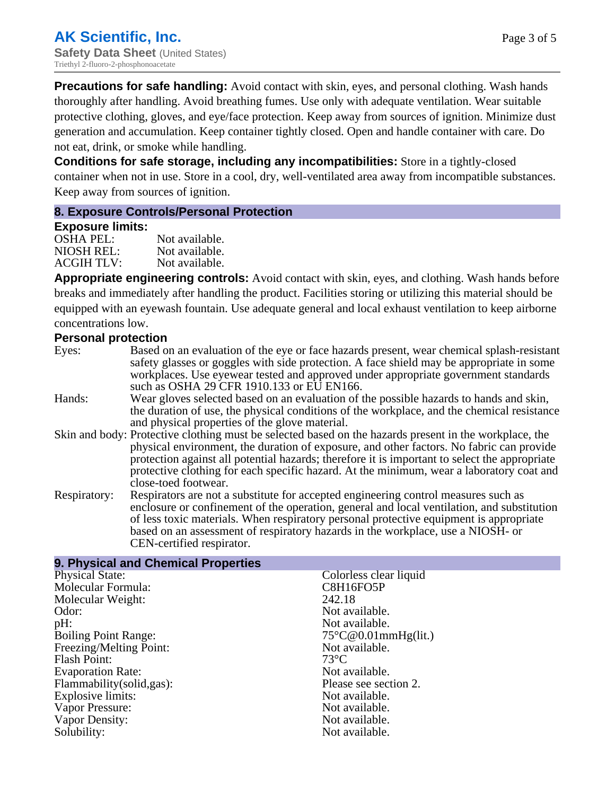**Precautions for safe handling:** Avoid contact with skin, eyes, and personal clothing. Wash hands thoroughly after handling. Avoid breathing fumes. Use only with adequate ventilation. Wear suitable protective clothing, gloves, and eye/face protection. Keep away from sources of ignition. Minimize dust generation and accumulation. Keep container tightly closed. Open and handle container with care. Do not eat, drink, or smoke while handling.

**Conditions for safe storage, including any incompatibilities:** Store in a tightly-closed container when not in use. Store in a cool, dry, well-ventilated area away from incompatible substances. Keep away from sources of ignition.

#### **8. Exposure Controls/Personal Protection**

#### **Exposure limits:**

| OSHA PEL:  | Not available. |
|------------|----------------|
| NIOSH REL: | Not available. |
| ACGIH TLV: | Not available. |

**Appropriate engineering controls:** Avoid contact with skin, eyes, and clothing. Wash hands before breaks and immediately after handling the product. Facilities storing or utilizing this material should be equipped with an eyewash fountain. Use adequate general and local exhaust ventilation to keep airborne concentrations low.

### **Personal protection**

| Eyes:        | Based on an evaluation of the eye or face hazards present, wear chemical splash-resistant<br>safety glasses or goggles with side protection. A face shield may be appropriate in some<br>workplaces. Use eyewear tested and approved under appropriate government standards<br>such as OSHA 29 CFR 1910.133 or EU EN166.                                                                                                |
|--------------|-------------------------------------------------------------------------------------------------------------------------------------------------------------------------------------------------------------------------------------------------------------------------------------------------------------------------------------------------------------------------------------------------------------------------|
| Hands:       | Wear gloves selected based on an evaluation of the possible hazards to hands and skin,<br>the duration of use, the physical conditions of the workplace, and the chemical resistance<br>and physical properties of the glove material.                                                                                                                                                                                  |
|              | Skin and body: Protective clothing must be selected based on the hazards present in the workplace, the<br>physical environment, the duration of exposure, and other factors. No fabric can provide<br>protection against all potential hazards; therefore it is important to select the appropriate<br>protective clothing for each specific hazard. At the minimum, wear a laboratory coat and<br>close-toed footwear. |
| Respiratory: | Respirators are not a substitute for accepted engineering control measures such as<br>enclosure or confinement of the operation, general and local ventilation, and substitution<br>of less toxic materials. When respiratory personal protective equipment is appropriate<br>based on an assessment of respiratory hazards in the workplace, use a NIOSH- or<br>CEN-certified respirator.                              |

| 9. Physical and Chemical Properties |                               |
|-------------------------------------|-------------------------------|
| <b>Physical State:</b>              | Colorless clear liquid        |
| Molecular Formula:                  | C8H16FO5P                     |
| Molecular Weight:                   | 242.18                        |
| Odor:                               | Not available.                |
| pH:                                 | Not available.                |
| <b>Boiling Point Range:</b>         | $75^{\circ}$ C@0.01mmHg(lit.) |
| Freezing/Melting Point:             | Not available.                |
| Flash Point:                        | $73^{\circ}$ C                |
| <b>Evaporation Rate:</b>            | Not available.                |
| Flammability(solid,gas):            | Please see section 2.         |
| Explosive limits:                   | Not available.                |
| Vapor Pressure:                     | Not available.                |
| Vapor Density:                      | Not available.                |
| Solubility:                         | Not available.                |
|                                     |                               |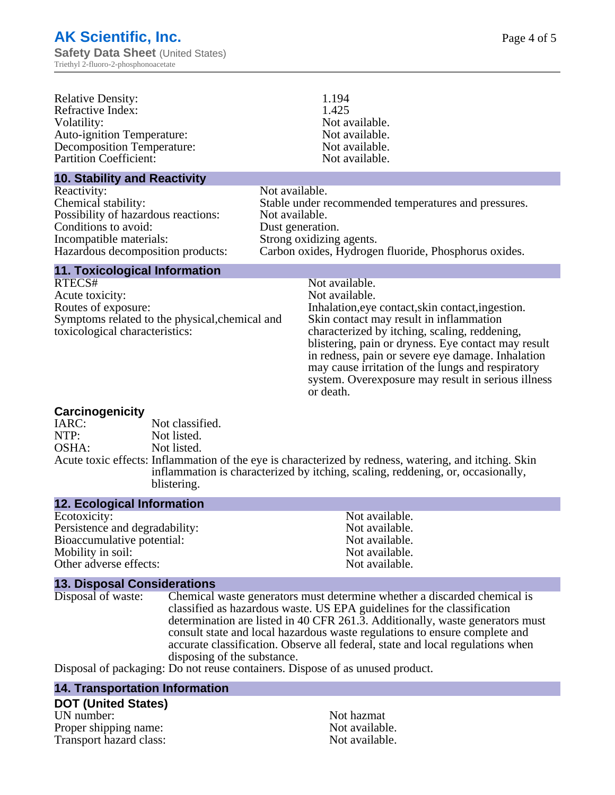| <b>Relative Density:</b><br>Refractive Index:<br>Volatility:<br><b>Auto-ignition Temperature:</b><br><b>Decomposition Temperature:</b> | 1.194<br>1.425<br>Not available.<br>Not available.<br>Not available. |  |
|----------------------------------------------------------------------------------------------------------------------------------------|----------------------------------------------------------------------|--|
| <b>Partition Coefficient:</b>                                                                                                          | Not available.                                                       |  |
| <b>10. Stability and Reactivity</b>                                                                                                    | - -                                                                  |  |

| Reactivity:                         | Not available.                                       |
|-------------------------------------|------------------------------------------------------|
| Chemical stability:                 | Stable under recommended temperatures and pressures. |
| Possibility of hazardous reactions: | Not available.                                       |
| Conditions to avoid:                | Dust generation.                                     |
| Incompatible materials:             | Strong oxidizing agents.                             |
| Hazardous decomposition products:   | Carbon oxides, Hydrogen fluoride, Phosphorus oxides. |
|                                     |                                                      |

#### **11. Toxicological Information**

RTECS# Not available. Acute toxicity:<br>
Routes of exposure:<br>
The United States of exposure:<br>  $\frac{1}{2}$  Acutes of exposure: Symptoms related to the physical,chemical and toxicological characteristics:

Inhalation,eye contact, skin contact, ingestion. Skin contact may result in inflammation characterized by itching, scaling, reddening, blistering, pain or dryness. Eye contact may result in redness, pain or severe eye damage. Inhalation may cause irritation of the lungs and respiratory system. Overexposure may result in serious illness or death.

#### **Carcinogenicity**

| IARC: | Not classified.                                                                                                                                                                                         |
|-------|---------------------------------------------------------------------------------------------------------------------------------------------------------------------------------------------------------|
| NTP:  | Not listed.                                                                                                                                                                                             |
| OSHA: | Not listed.                                                                                                                                                                                             |
|       | Acute toxic effects: Inflammation of the eye is characterized by redness, watering, and itching. Skin<br>inflammation is characterized by itching, scaling, reddening, or, occasionally,<br>blistering. |

#### **12. Ecological Information**

Ecotoxicity: Not available. Persistence and degradability:<br>
Bioaccumulative potential:<br>
Not available.<br>
Not available. Bioaccumulative potential:<br>
Motify in soil:<br>
Motify in soil:<br>
Not available. Mobility in soil: Other adverse effects: Not available.

#### **13. Disposal Considerations**

Disposal of waste: Chemical waste generators must determine whether a discarded chemical is classified as hazardous waste. US EPA guidelines for the classification determination are listed in 40 CFR 261.3. Additionally, waste generators must consult state and local hazardous waste regulations to ensure complete and accurate classification. Observe all federal, state and local regulations when disposing of the substance.

Disposal of packaging: Do not reuse containers. Dispose of as unused product.

#### **14. Transportation Information**

#### **DOT (United States)**

UN number:<br>Proper shipping name:  $\begin{array}{ccc} & & \text{Not azmat} \\ \text{Proper a}\n\end{array}$ Proper shipping name:<br>
Transport hazard class:<br>
Not available.<br>
Not available. Transport hazard class: